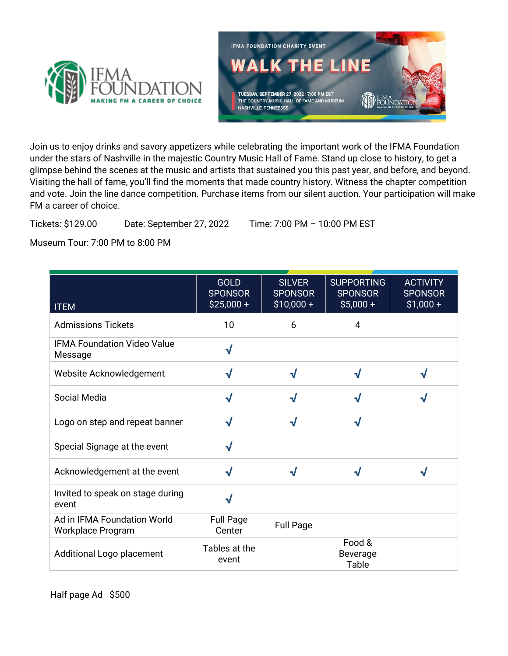



Join us to enjoy drinks and savory appetizers while celebrating the important work of the IFMA Foundation under the stars of Nashville in the majestic Country Music Hall of Fame. Stand up close to history, to get a glimpse behind the scenes at the music and artists that sustained you this past year, and before, and beyond. Visiting the hall of fame, you'll find the moments that made country history. Witness the chapter competition and vote. Join the line dance competition. Purchase items from our silent auction. Your participation will make FM a career of choice.

Tickets: \$129.00 Date: September 27, 2022 Time: 7:00 PM – 10:00 PM EST

Museum Tour: 7:00 PM to 8:00 PM

| <b>ITEM</b>                                      | <b>GOLD</b><br><b>SPONSOR</b><br>$$25,000 +$ | <b>SILVER</b><br><b>SPONSOR</b><br>$$10,000 +$ | <b>SUPPORTING</b><br><b>SPONSOR</b><br>$$5,000+$ | <b>ACTIVITY</b><br><b>SPONSOR</b><br>$$1,000+$ |
|--------------------------------------------------|----------------------------------------------|------------------------------------------------|--------------------------------------------------|------------------------------------------------|
| <b>Admissions Tickets</b>                        | 10                                           | 6                                              | 4                                                |                                                |
| <b>IFMA Foundation Video Value</b><br>Message    | $\sqrt{}$                                    |                                                |                                                  |                                                |
| Website Acknowledgement                          | $\sqrt{ }$                                   | $\sqrt{}$                                      | √                                                | √                                              |
| Social Media                                     | $\sqrt{}$                                    | √                                              | V                                                | J                                              |
| Logo on step and repeat banner                   | $\sqrt{}$                                    | √                                              | J                                                |                                                |
| Special Signage at the event                     | $\sqrt{}$                                    |                                                |                                                  |                                                |
| Acknowledgement at the event                     | $\sqrt{ }$                                   | √                                              | $\sqrt{}$                                        | √                                              |
| Invited to speak on stage during<br>event        | $\sqrt{}$                                    |                                                |                                                  |                                                |
| Ad in IFMA Foundation World<br>Workplace Program | <b>Full Page</b><br>Center                   | <b>Full Page</b>                               |                                                  |                                                |
| Additional Logo placement                        | Tables at the<br>event                       |                                                | Food &<br><b>Beverage</b><br>Table               |                                                |